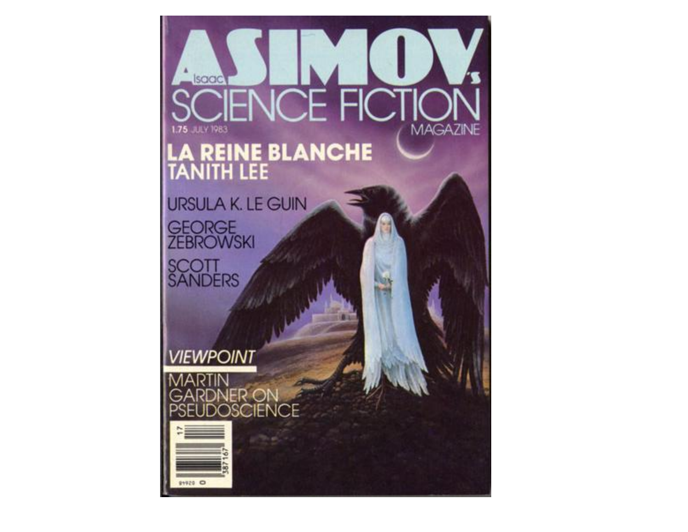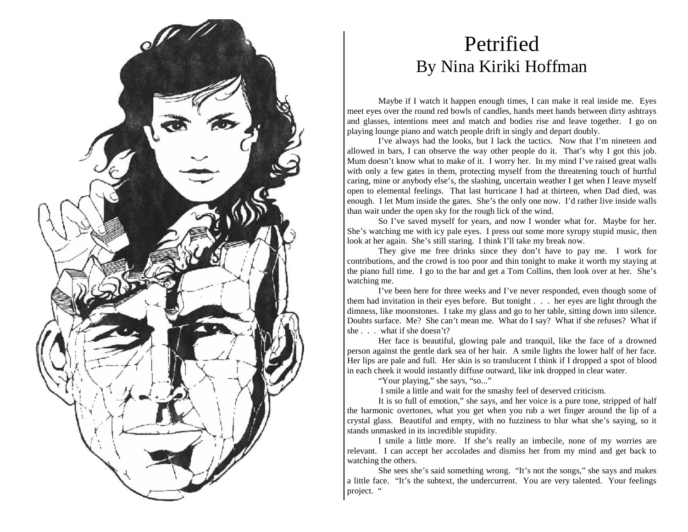

## Petrified By Nina Kiriki Hoffman

Maybe if I watch it happen enough times, I can make it real inside me. Eyes meet eyes over the round red bowls of candles, hands meet hands between dirty ashtrays and glasses, intentions meet and match and bodies rise and leave together. I go on playing lounge piano and watch people drift in singly and depart doubly.

I've always had the looks, but I lack the tactics. Now that I'm nineteen and allowed in bars, I can observe the way other people do it. That's why I got this job. Mum doesn't know what to make of it. I worry her. In my mind I've raised great walls with only a few gates in them, protecting myself from the threatening touch of hurtful caring, mine or anybody else's, the slashing, uncertain weather I get when I leave myself open to elemental feelings. That last hurricane I had at thirteen, when Dad died, was enough. I let Mum inside the gates. She's the only one now. I'd rather live inside walls than wait under the open sky for the rough lick of the wind.

So I've saved myself for years, and now I wonder what for. Maybe for her. She's watching me with icy pale eyes. I press out some more syrupy stupid music, then look at her again. She's still staring. I think I'll take my break now.

They give me free drinks since they don't have to pay me. I work for contributions, and the crowd is too poor and thin tonight to make it worth my staying at the piano full time. I go to the bar and get a Tom Collins, then look over at her. She's watching me.

I've been here for three weeks and I've never responded, even though some of them had invitation in their eyes before. But tonight . . . her eyes are light through the dimness, like moonstones. I take my glass and go to her table, sitting down into silence. Doubts surface. Me? She can't mean me. What do I say? What if she refuses? What if she . . . what if she doesn't?

Her face is beautiful, glowing pale and tranquil, like the face of a drowned person against the gentle dark sea of her hair. A smile lights the lower half of her face. Her lips are pale and full. Her skin is so translucent I think if I dropped a spot of blood in each cheek it would instantly diffuse outward, like ink dropped in clear water.

"Your playing," she says, "so..."

I smile a little and wait for the smashy feel of deserved criticism.

It is so full of emotion," she says, and her voice is a pure tone, stripped of half the harmonic overtones, what you get when you rub a wet finger around the lip of a crystal glass. Beautiful and empty, with no fuzziness to blur what she's saying, so it stands unmasked in its incredible stupidity.

I smile a little more. If she's really an imbecile, none of my worries are relevant. I can accept her accolades and dismiss her from my mind and get back to watching the others.

She sees she's said something wrong. "It's not the songs," she says and makes a little face. "It's the subtext, the undercurrent. You are very talented. Your feelings project. "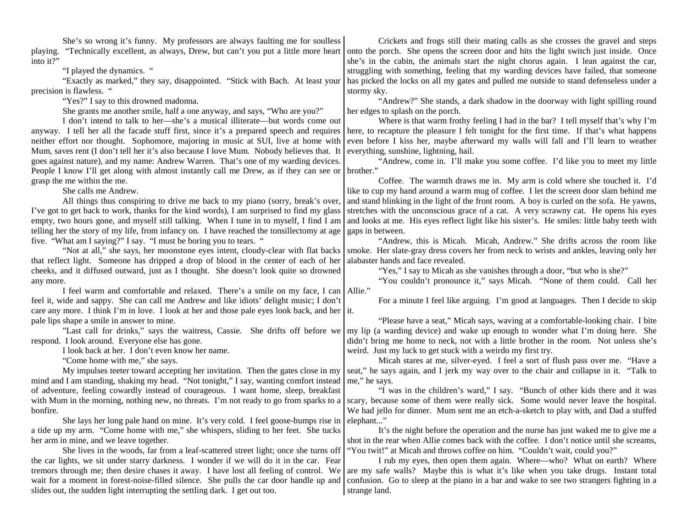She's so wrong it's funny. My professors are always faulting me for soulless playing. "Technically excellent, as always, Drew, but can't you put a little more heart into it?"

"I played the dynamics. "

"Exactly as marked," they say, disappointed. "Stick with Bach. At least your precision is flawless. "

"Yes?" I say to this drowned madonna.

She grants me another smile, half a one anyway, and says, "Who are you?"

I don't intend to talk to her—she's a musical illiterate—but words come out anyway. I tell her all the facade stuff first, since it's a prepared speech and requires neither effort nor thought. Sophomore, majoring in music at SUI, live at home with Mum, saves rent (I don't tell her it's also because I love Mum. Nobody believes that. It goes against nature), and my name: Andrew Warren. That's one of my warding devices. People I know I'll get along with almost instantly call me Drew, as if they can see or grasp the me within the me.

She calls me Andrew.

All things thus conspiring to drive me back to my piano (sorry, break's over, I've got to get back to work, thanks for the kind words), I am surprised to find my glass empty, two hours gone, and myself still talking. When I tune in to myself, I find I am telling her the story of my life, from infancy on. I have reached the tonsillectomy at age five. "What am I saying?" I say. "I must be boring you to tears. "

"Not at all," she says, her moonstone eyes intent, cloudy-clear with flat backs that reflect light. Someone has dripped a drop of blood in the center of each of her cheeks, and it diffused outward, just as I thought. She doesn't look quite so drowned any more.

I feel warm and comfortable and relaxed. There's a smile on my face, I can feel it, wide and sappy. She can call me Andrew and like idiots' delight music; I don't care any more. I think I'm in love. I look at her and those pale eyes look back, and her it. pale lips shape a smile in answer to mine.

"Last call for drinks," says the waitress, Cassie. She drifts off before we respond. I look around. Everyone else has gone.

I look back at her. I don't even know her name.

"Come home with me," she says.

My impulses teeter toward accepting her invitation. Then the gates close in my mind and I am standing, shaking my head. "Not tonight," I say, wanting comfort instead of adventure, feeling cowardly instead of courageous. I want home, sleep, breakfast with Mum in the morning, nothing new, no threats. I'm not ready to go from sparks to a bonfire.

She lays her long pale hand on mine. It's very cold. I feel goose-bumps rise in a tide up my arm. "Come home with me," she whispers, sliding to her feet. She tucks her arm in mine, and we leave together.

She lives in the woods, far from a leaf-scattered street light; once she turns off the car lights, we sit under starry darkness. I wonder if we will do it in the car. Fear tremors through me; then desire chases it away. I have lost all feeling of control. We wait for a moment in forest-noise-filled silence. She pulls the car door handle up and slides out, the sudden light interrupting the settling dark. I get out too.

Crickets and frogs still their mating calls as she crosses the gravel and steps onto the porch. She opens the screen door and hits the light switch just inside. Once she's in the cabin, the animals start the night chorus again. I lean against the car, struggling with something, feeling that my warding devices have failed, that someone has picked the locks on all my gates and pulled me outside to stand defenseless under a stormy sky.

"Andrew?" She stands, a dark shadow in the doorway with light spilling round her edges to splash on the porch.

Where is that warm frothy feeling I had in the bar? I tell myself that's why I'm here, to recapture the pleasure I felt tonight for the first time. If that's what happens even before I kiss her, maybe afterward my walls will fall and I'll learn to weather everything, sunshine, lightning, hail.

"Andrew, come in. I'll make you some coffee. I'd like you to meet my little brother."

Coffee. The warmth draws me in. My arm is cold where she touched it. I'd like to cup my hand around a warm mug of coffee. I let the screen door slam behind me and stand blinking in the light of the front room. A boy is curled on the sofa. He yawns, stretches with the unconscious grace of a cat. A very scrawny cat. He opens his eyes and looks at me. His eyes reflect light like his sister's. He smiles: little baby teeth with gaps in between.

"Andrew, this is Micah. Micah, Andrew." She drifts across the room like smoke. Her slate-gray dress covers her from neck to wrists and ankles, leaving only her alabaster hands and face revealed.

"Yes," I say to Micah as she vanishes through a door, "but who is she?"

"You couldn't pronounce it," says Micah. "None of them could. Call her Allie."

For a minute I feel like arguing. I'm good at languages. Then I decide to skip

"Please have a seat," Micah says, waving at a comfortable-looking chair. I bite my lip (a warding device) and wake up enough to wonder what I'm doing here. She didn't bring me home to neck, not with a little brother in the room. Not unless she's weird. Just my luck to get stuck with a weirdo my first try.

Micah stares at me, silver-eyed. I feel a sort of flush pass over me. "Have a seat," he says again, and I jerk my way over to the chair and collapse in it. "Talk to me," he says.

"I was in the children's ward," I say. "Bunch of other kids there and it was scary, because some of them were really sick. Some would never leave the hospital. We had jello for dinner. Mum sent me an etch-a-sketch to play with, and Dad a stuffed elephant..."

It's the night before the operation and the nurse has just waked me to give me a shot in the rear when Allie comes back with the coffee. I don't notice until she screams, "You twit!" at Micah and throws coffee on him. "Couldn't wait, could you?"

I rub my eyes, then open them again. Where—who? What on earth? Where are my safe walls? Maybe this is what it's like when you take drugs. Instant total confusion. Go to sleep at the piano in a bar and wake to see two strangers fighting in a strange land.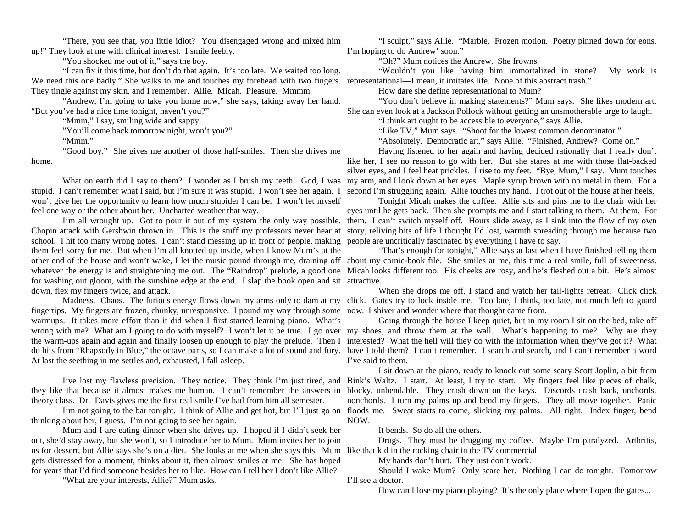"There, you see that, you little idiot? You disengaged wrong and mixed him up!" They look at me with clinical interest. I smile feebly.

"You shocked me out of it," says the boy.

"I can fix it this time, but don't do that again. It's too late. We waited too long. We need this one badly." She walks to me and touches my forehead with two fingers. They tingle against my skin, and I remember. Allie. Micah. Pleasure. Mmmm.

"Andrew, I'm going to take you home now," she says, taking away her hand. "But you've had a nice time tonight, haven't you?"

"Mmm," I say, smiling wide and sappy.

"You'll come back tomorrow night, won't you?"

"Mmm."

"Good boy." She gives me another of those half-smiles. Then she drives me home.

What on earth did I say to them? I wonder as I brush my teeth. God, I was stupid. I can't remember what I said, but I'm sure it was stupid. I won't see her again. I won't give her the opportunity to learn how much stupider I can be. I won't let myself feel one way or the other about her. Uncharted weather that way.

I'm all wrought up. Got to pour it out of my system the only way possible. Chopin attack with Gershwin thrown in. This is the stuff my professors never hear at school. I hit too many wrong notes. I can't stand messing up in front of people, making them feel sorry for me. But when I'm all knotted up inside, when I know Mum's at the other end of the house and won't wake, I let the music pound through me, draining off whatever the energy is and straightening me out. The "Raindrop" prelude, a good one for washing out gloom, with the sunshine edge at the end. I slap the book open and sit down, flex my fingers twice, and attack.

Madness. Chaos. The furious energy flows down my arms only to dam at my fingertips. My fingers are frozen, chunky, unresponsive. I pound my way through some warmups. It takes more effort than it did when I first started learning piano. What's wrong with me? What am I going to do with myself? I won't let it be true. I go over the warm-ups again and again and finally loosen up enough to play the prelude. Then I do bits from "Rhapsody in Blue," the octave parts, so I can make a lot of sound and fury. At last the seething in me settles and, exhausted, I fall asleep.

I've lost my flawless precision. They notice. They think I'm just tired, and they like that because it almost makes me human. I can't remember the answers in theory class. Dr. Davis gives me the first real smile I've had from him all semester.

I'm not going to the bar tonight. I think of Allie and get hot, but I'll just go on thinking about her, I guess. I'm not going to see her again.

Mum and I are eating dinner when she drives up. I hoped if I didn't seek her out, she'd stay away, but she won't, so I introduce her to Mum. Mum invites her to join us for dessert, but Allie says she's on a diet. She looks at me when she says this. Mum gets distressed for a moment, thinks about it, then almost smiles at me. She has hoped for years that I'd find someone besides her to like. How can I tell her I don't like Allie?

"What are your interests, Allie?" Mum asks.

"I sculpt," says Allie. "Marble. Frozen motion. Poetry pinned down for eons. I'm hoping to do Andrew' soon."

"Oh?" Mum notices the Andrew. She frowns.

"Wouldn't you like having him immortalized in stone? My work is representational—I mean, it imitates life. None of this abstract trash."

How dare she define representational to Mum?

"You don't believe in making statements?" Mum says. She likes modern art. She can even look at a Jackson Pollock without getting an unsmotherable urge to laugh.

"I think art ought to be accessible to everyone," says Allie.

"Like TV," Mum says. "Shoot for the lowest common denominator."

"Absolutely. Democratic art," says Allie. "Finished, Andrew? Come on."

Having listened to her again and having decided rationally that I really don't like her, I see no reason to go with her. But she stares at me with those flat-backed silver eyes, and I feel heat prickles. I rise to my feet. "Bye, Mum," I say. Mum touches my arm, and I look down at her eyes. Maple syrup brown with no metal in them. For a second I'm struggling again. Allie touches my hand. I trot out of the house at her heels.

Tonight Micah makes the coffee. Allie sits and pins me to the chair with her eyes until he gets back. Then she prompts me and I start talking to them. At them. For them. I can't switch myself off. Hours slide away, as I sink into the flow of my own story, reliving bits of life I thought I'd lost, warmth spreading through me because two people are uncritically fascinated by everything I have to say.

"That's enough for tonight," Allie says at last when I have finished telling them about my comic-book file. She smiles at me, this time a real smile, full of sweetness. Micah looks different too. His cheeks are rosy, and he's fleshed out a bit. He's almost attractive.

When she drops me off, I stand and watch her tail-lights retreat. Click click click. Gates try to lock inside me. Too late, I think, too late, not much left to guard now. I shiver and wonder where that thought came from.

Going through the house I keep quiet, but in my room I sit on the bed, take off my shoes, and throw them at the wall. What's happening to me? Why are they interested? What the hell will they do with the information when they've got it? What have I told them? I can't remember. I search and search, and I can't remember a word I've said to them.

I sit down at the piano, ready to knock out some scary Scott Joplin, a bit from Bink's Waltz. I start. At least, I try to start. My fingers feel like pieces of chalk, blocky, unbendable. They crash down on the keys. Discords crash back, unchords, nonchords. I turn my palms up and bend my fingers. They all move together. Panic floods me. Sweat starts to come, slicking my palms. All right. Index finger, bend NOW.

It bends. So do all the others.

Drugs. They must be drugging my coffee. Maybe I'm paralyzed. Arthritis, like that kid in the rocking chair in the TV commercial.

My hands don't hurt. They just don't work.

Should I wake Mum? Only scare her. Nothing I can do tonight. Tomorrow I'll see a doctor.

How can I lose my piano playing? It's the only place where I open the gates...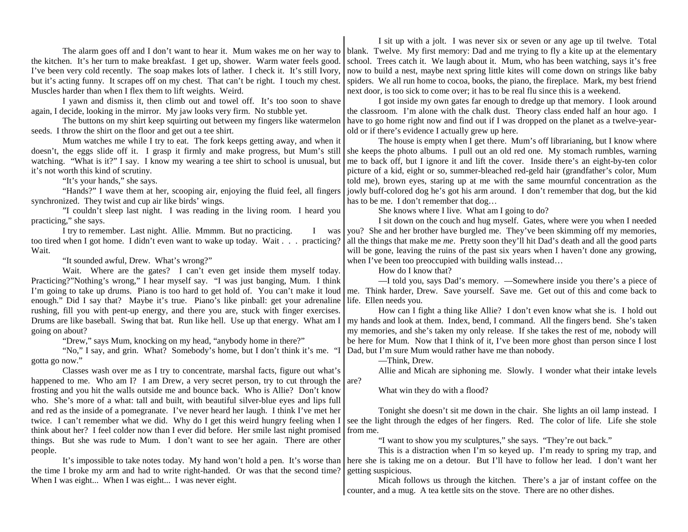The alarm goes off and I don't want to hear it. Mum wakes me on her way to the kitchen. It's her turn to make breakfast. I get up, shower. Warm water feels good. I've been very cold recently. The soap makes lots of lather. I check it. It's still Ivory, but it's acting funny. It scrapes off on my chest. That can't be right. I touch my chest. Muscles harder than when I flex them to lift weights. Weird.

I yawn and dismiss it, then climb out and towel off. It's too soon to shave again, I decide, looking in the mirror. My jaw looks very firm. No stubble yet.

The buttons on my shirt keep squirting out between my fingers like watermelon seeds. I throw the shirt on the floor and get out a tee shirt.

Mum watches me while I try to eat. The fork keeps getting away, and when it doesn't, the eggs slide off it. I grasp it firmly and make progress, but Mum's still watching. "What is it?" I say. I know my wearing a tee shirt to school is unusual, but it's not worth this kind of scrutiny.

"It's your hands," she says.

"Hands?" I wave them at her, scooping air, enjoying the fluid feel, all fingers synchronized. They twist and cup air like birds' wings.

"I couldn't sleep last night. I was reading in the living room. I heard you practicing," she says.

I try to remember. Last night. Allie. Mmmm. But no practicing. I was too tired when I got home. I didn't even want to wake up today. Wait . . . practicing? Wait.

"It sounded awful, Drew. What's wrong?"

Wait. Where are the gates? I can't even get inside them myself today. Practicing?"Nothing's wrong," I hear myself say. "I was just banging, Mum. I think I'm going to take up drums. Piano is too hard to get hold of. You can't make it loud enough." Did I say that? Maybe it's true. Piano's like pinball: get your adrenaline rushing, fill you with pent-up energy, and there you are, stuck with finger exercises. Drums are like baseball. Swing that bat. Run like hell. Use up that energy. What am I going on about?

"Drew," says Mum, knocking on my head, "anybody home in there?"

"No," I say, and grin. What? Somebody's home, but I don't think it's me. "I gotta go now."

Classes wash over me as I try to concentrate, marshal facts, figure out what's happened to me. Who am I? I am Drew, a very secret person, try to cut through the frosting and you hit the walls outside me and bounce back. Who is Allie? Don't know who. She's more of a what: tall and built, with beautiful silver-blue eyes and lips full and red as the inside of a pomegranate. I've never heard her laugh. I think I've met her twice. I can't remember what we did. Why do I get this weird hungry feeling when I think about her? I feel colder now than I ever did before. Her smile last night promised things. But she was rude to Mum. I don't want to see her again. There are other people. are?

It's impossible to take notes today. My hand won't hold a pen. It's worse than the time I broke my arm and had to write right-handed. Or was that the second time? When I was eight... When I was eight... I was never eight.

I sit up with a jolt. I was never six or seven or any age up til twelve. Total blank. Twelve. My first memory: Dad and me trying to fly a kite up at the elementary school. Trees catch it. We laugh about it. Mum, who has been watching, says it's free now to build a nest, maybe next spring little kites will come down on strings like baby spiders. We all run home to cocoa, books, the piano, the fireplace. Mark, my best friend next door, is too sick to come over; it has to be real flu since this is a weekend.

I got inside my own gates far enough to dredge up that memory. I look around the classroom. I'm alone with the chalk dust. Theory class ended half an hour ago. I have to go home right now and find out if I was dropped on the planet as a twelve-yearold or if there's evidence I actually grew up here.

The house is empty when I get there. Mum's off librarianing, but I know where she keeps the photo albums. I pull out an old red one. My stomach rumbles, warning me to back off, but I ignore it and lift the cover. Inside there's an eight-by-ten color picture of a kid, eight or so, summer-bleached red-geld hair (grandfather's color, Mum told me), brown eyes, staring up at me with the same mournful concentration as the jowly buff-colored dog he's got his arm around. I don't remember that dog, but the kid has to be me. I don't remember that dog…

She knows where I live. What am I going to do?

I sit down on the couch and hug myself. Gates, where were you when I needed you? She and her brother have burgled me. They've been skimming off my memories, all the things that make me *me*. Pretty soon they'll hit Dad's death and all the good parts will be gone, leaving the ruins of the past six years when I haven't done any growing, when I've been too preoccupied with building walls instead...

How do I know that?

—I told you, says Dad's memory. —Somewhere inside you there's a piece of me. Think harder, Drew. Save yourself. Save me. Get out of this and come back to life. Ellen needs you.

How can I fight a thing like Allie? I don't even know what she is. I hold out my hands and look at them. Index, bend, I command. All the fingers bend. She's taken my memories, and she's taken my only release. If she takes the rest of me, nobody will be here for Mum. Now that I think of it, I've been more ghost than person since I lost Dad, but I'm sure Mum would rather have me than nobody.

—Think, Drew.

Allie and Micah are siphoning me. Slowly. I wonder what their intake levels

What win they do with a flood?

Tonight she doesn't sit me down in the chair. She lights an oil lamp instead. I see the light through the edges of her fingers. Red. The color of life. Life she stole from me.

"I want to show you my sculptures," she says. "They're out back."

This is a distraction when I'm so keyed up. I'm ready to spring my trap, and here she is taking me on a detour. But I'll have to follow her lead. I don't want her getting suspicious.

Micah follows us through the kitchen. There's a jar of instant coffee on the counter, and a mug. A tea kettle sits on the stove. There are no other dishes.